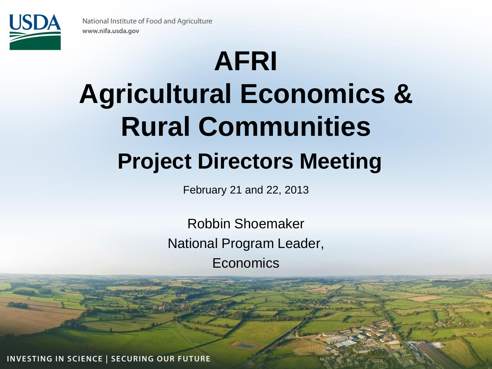

# **AFRI Agricultural Economics & Rural Communities Project Directors Meeting**

February 21 and 22, 2013

Robbin Shoemaker National Program Leader, **Economics** 

INVESTING IN SCIENCE | SECURING OUR FUTURE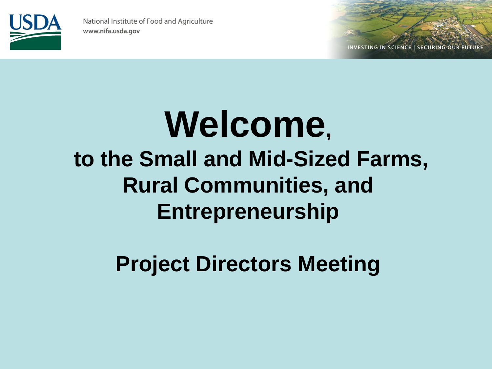

INVESTING IN SCIENCE | SECURING OUR FUTURE

## **Welcome, to the Small and Mid-Sized Farms, Rural Communities, and Entrepreneurship**

**Project Directors Meeting**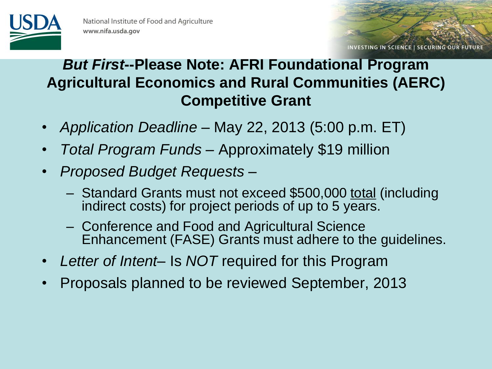

INVESTING IN SCIENCE | SECURING OUR FUTURE

#### *But First***--Please Note: AFRI Foundational Program Agricultural Economics and Rural Communities (AERC) Competitive Grant**

- *Application Deadline*  May 22, 2013 (5:00 p.m. ET)
- *Total Program Funds*  Approximately \$19 million
- *Proposed Budget Requests* 
	- Standard Grants must not exceed \$500,000 total (including indirect costs) for project periods of up to 5 years.
	- Conference and Food and Agricultural Science Enhancement (FASE) Grants must adhere to the guidelines.
- *Letter of Intent* Is *NOT* required for this Program
- Proposals planned to be reviewed September, 2013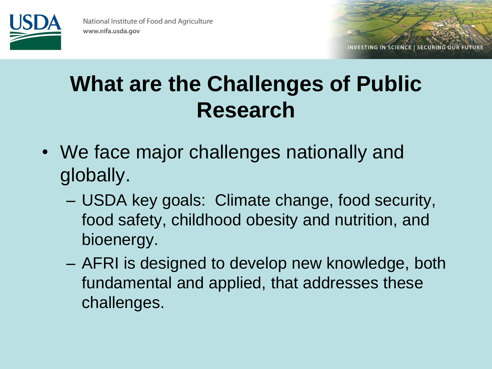

#### **What are the Challenges of Public Research**

- We face major challenges nationally and globally.
	- USDA key goals: Climate change, food security, food safety, childhood obesity and nutrition, and bioenergy.
	- AFRI is designed to develop new knowledge, both fundamental and applied, that addresses these challenges.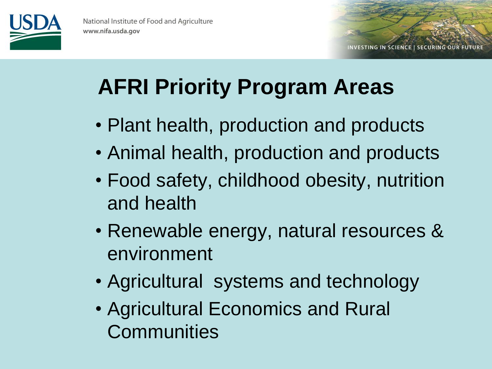

INVESTING IN SCIENCE | SECURING OUR FUTURE

### **AFRI Priority Program Areas**

- Plant health, production and products
- Animal health, production and products
- Food safety, childhood obesity, nutrition and health
- Renewable energy, natural resources & environment
- Agricultural systems and technology
- Agricultural Economics and Rural **Communities**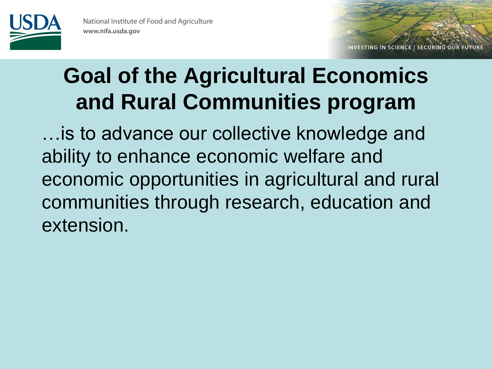

INVESTING IN SCIENCE | SECURING OUR FUTURE

#### **Goal of the Agricultural Economics and Rural Communities program**

…is to advance our collective knowledge and ability to enhance economic welfare and economic opportunities in agricultural and rural communities through research, education and extension.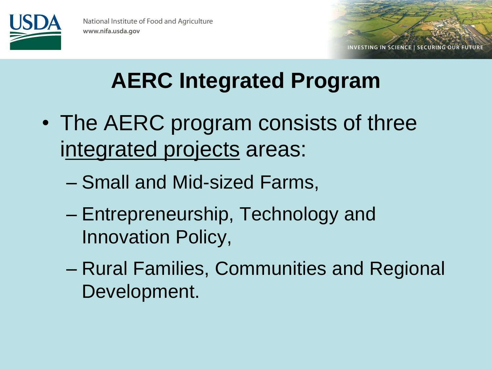

**INVESTING IN SCIENCE | SECURING OUR FUTURE** 

#### **AERC Integrated Program**

- The AERC program consists of three integrated projects areas:
	- Small and Mid-sized Farms,
	- Entrepreneurship, Technology and Innovation Policy,
	- Rural Families, Communities and Regional Development.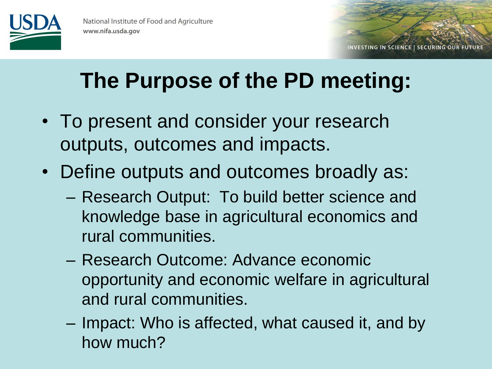

#### **The Purpose of the PD meeting:**

- To present and consider your research outputs, outcomes and impacts.
- Define outputs and outcomes broadly as:
	- Research Output: To build better science and knowledge base in agricultural economics and rural communities.
	- Research Outcome: Advance economic opportunity and economic welfare in agricultural and rural communities.
	- Impact: Who is affected, what caused it, and by how much?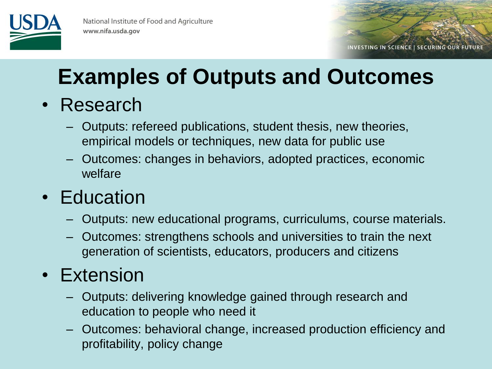

INVESTING IN SCIENCE | SECURING OUR FUTURE

#### **Examples of Outputs and Outcomes**

- Research
	- Outputs: refereed publications, student thesis, new theories, empirical models or techniques, new data for public use
	- Outcomes: changes in behaviors, adopted practices, economic welfare

#### • Education

- Outputs: new educational programs, curriculums, course materials.
- Outcomes: strengthens schools and universities to train the next generation of scientists, educators, producers and citizens

#### • Extension

- Outputs: delivering knowledge gained through research and education to people who need it
- Outcomes: behavioral change, increased production efficiency and profitability, policy change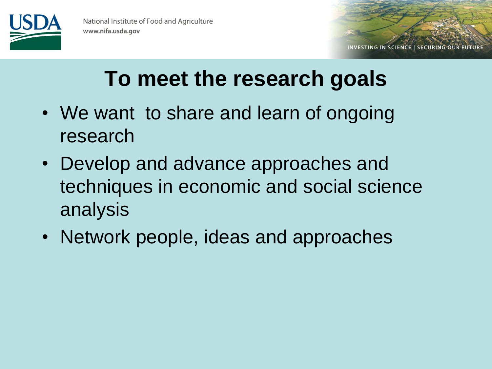

INVESTING IN SCIENCE | SECURING OUR FUTURE

#### **To meet the research goals**

- We want to share and learn of ongoing research
- Develop and advance approaches and techniques in economic and social science analysis
- Network people, ideas and approaches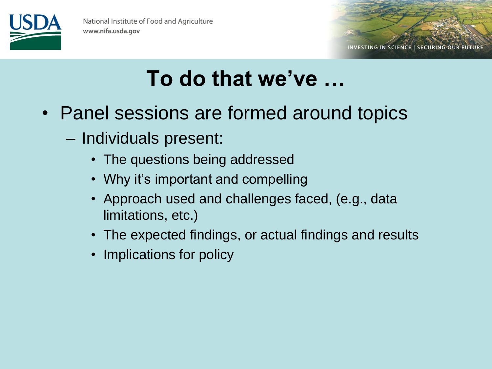



#### **To do that we've …**

- Panel sessions are formed around topics
	- Individuals present:
		- The questions being addressed
		- Why it's important and compelling
		- Approach used and challenges faced, (e.g., data limitations, etc.)
		- The expected findings, or actual findings and results
		- Implications for policy